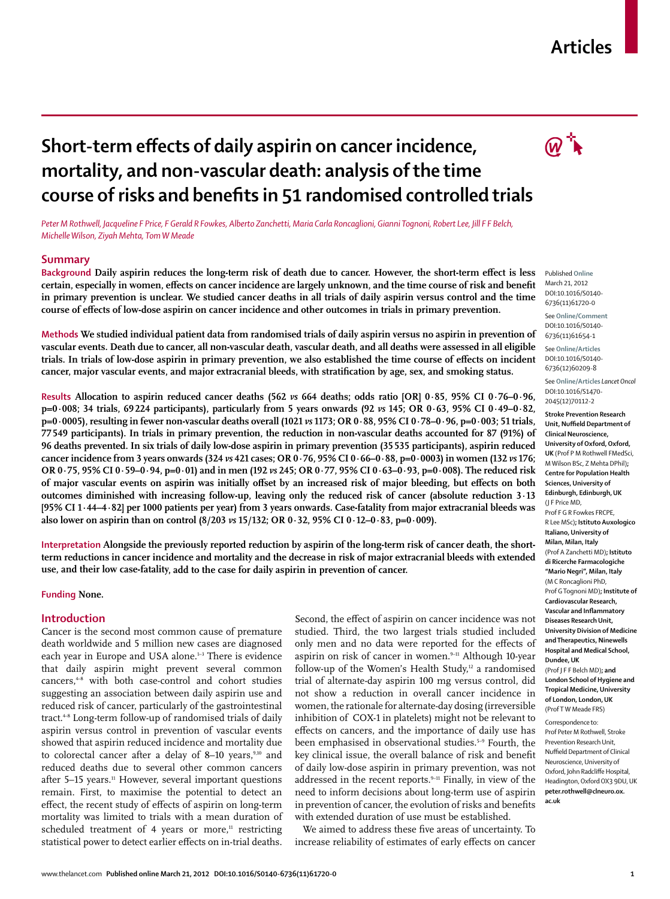# **Articles**

# **Short-term effects of daily aspirin on cancer incidence, mortality, and non-vascular death: analysis of the time course of risks and benefi ts in 51 randomised controlled trials**

*Peter M Rothwell, Jacqueline F Price, F Gerald R Fowkes, Alberto Zanchetti, Maria Carla Roncaglioni, Gianni Tognoni, Robert Lee, Jill F F Belch, Michelle Wilson, Ziyah Mehta, Tom W Meade*

# **Summary**

Background Daily aspirin reduces the long-term risk of death due to cancer. However, the short-term effect is less certain, especially in women, effects on cancer incidence are largely unknown, and the time course of risk and benefit **in primary prevention is unclear. We studied cancer deaths in all trials of daily aspirin versus control and the time course of eff ects of low-dose aspirin on cancer incidence and other outcomes in trials in primary prevention.**

**Methods We studied individual patient data from randomised trials of daily aspirin versus no aspirin in prevention of vascular events. Death due to cancer, all non-vascular death, vascular death, and all deaths were assessed in all eligible trials. In trials of low-dose aspirin in primary prevention, we also established the time course of effects on incident**  cancer, major vascular events, and major extracranial bleeds, with stratification by age, sex, and smoking status.

**Results Allocation to aspirin reduced cancer deaths (562** *vs* **664 deaths; odds ratio [OR] 0·85, 95% CI 0·76–0·96, p=0·008; 34 trials, 69 224 participants), par ticularly from 5 years onwards (92** *vs* **145; OR 0·63, 95% CI 0·49–0·82, p**=0·0005), resulting in fewer non-vascular deaths overall (1021 *vs* 1173; OR 0·88, 95% CI 0·78–0·96, p=0·003; 51 trials, **77 549 participants). In trials in primary prevention, the reduction in non-vascular deaths accounted for 87 (91%) of 96 deaths prevented. In six trials of daily low-dose aspirin in primary prevention (35 535 participants), aspirin reduced cancer incidence from 3 years onwards (324** *vs* **421 cases; OR 0·76, 95% CI 0·66–0·88, p=0·0003) in women (132** *vs* **176; OR 0·75, 95% CI 0·59–0·94, p=0·01) and in men (192** *vs* **245; OR 0·77, 95% CI 0·63–0·93, p=0·008). The reduced risk**  of major vascular events on aspirin was initially offset by an increased risk of major bleeding, but effects on both **outcomes diminished with increasing follow-up, leaving only the reduced risk of cancer (absolute reduction 3·13 [95% CI 1·44–4·82] per 1000 patients per year) from 3 years onwards. Case-fatality from major extracranial bleeds was also lower on aspirin than on control (8/203** *vs* **15/132; OR 0·32, 95% CI 0·12–0·83, p=0·009).**

**Interpretation Alongside the previously reported reduction by aspirin of the long-term risk of cancer death, the shortterm reductions in cancer incidence and mortality and the decrease in risk of major extracranial bleeds with extended use, and their low case-fatality, add to the case for daily aspirin in prevention of cancer.**

# **Funding None.**

# **Introduction**

Cancer is the second most common cause of premature death worldwide and 5 million new cases are diagnosed each year in Europe and USA alone.<sup>1-3</sup> There is evidence that daily aspirin might prevent several common cancers,<sup>44</sup> with both case-control and cohort studies suggesting an association between daily aspirin use and reduced risk of cancer, particularly of the gastrointestinal tract.<sup>4-8</sup> Long-term follow-up of randomised trials of daily aspirin versus control in prevention of vascular events showed that aspirin reduced incidence and mortality due to colorectal cancer after a delay of 8–10 years,<sup>9,10</sup> and reduced deaths due to several other common cancers after  $5-15$  years.<sup>11</sup> However, several important questions remain. First, to maximise the potential to detect an effect, the recent study of effects of aspirin on long-term mortality was limited to trials with a mean duration of scheduled treatment of 4 years or more, $11$  restricting statistical power to detect earlier effects on in-trial deaths. Second, the effect of aspirin on cancer incidence was not studied. Third, the two largest trials studied included only men and no data were reported for the effects of aspirin on risk of cancer in women.<sup>9-11</sup> Although 10-year follow-up of the Women's Health Study, $12$  a randomised trial of alternate-day aspirin 100 mg versus control, did not show a reduction in overall cancer incidence in women, the rationale for alternate-day dosing (irreversible inhibition of COX-1 in platelets) might not be relevant to effects on cancers, and the importance of daily use has been emphasised in observational studies.<sup>5-9</sup> Fourth, the key clinical issue, the overall balance of risk and benefit of daily low-dose aspirin in primary prevention, was not addressed in the recent reports.<sup>9-11</sup> Finally, in view of the need to inform decisions about long-term use of aspirin in prevention of cancer, the evolution of risks and benefits with extended duration of use must be established.

We aimed to address these five areas of uncertainty. To increase reliability of estimates of early effects on cancer



Published **Online** March 21, 2012 DOI:10.1016/S0140- 6736(11)61720-0

See **Online/Comment** DOI:10.1016/S0140- 6736(11)61654-1

See **Online/Articles** DOI:10.1016/S0140-

6736(12)60209-8 See **Online/Articles** *Lancet Oncol* DOI:10.1016/S1470-

2045(12)70112-2

**Stroke Prevention Research Unit, Nuffield Department of Clinical Neuroscience, University of Oxford, Oxford, UK** (Prof P M Rothwell FMedSci, M Wilson BSc, Z Mehta DPhil)**; Centre for Population Health Sciences, University of Edinburgh, Edinburgh, UK** (J F Price MD, Prof F G R Fowkes FRCPE, R Lee MSc)**; Istituto Auxologico Italiano, University of Milan, Milan, Italy** (Prof A Zanchetti MD)**; Istituto di Ricerche Farmacologiche "Mario Negri", Milan, Italy** (M C Roncaglioni PhD, Prof G Tognoni MD)**; Institute of Cardiovascular Research, Vascular and Inflammatory Diseases Research Unit, University Division of Medicine and Therapeutics, Ninewells Hospital and Medical School, Dundee, UK** (Prof J F F Belch MD)**; and** 

**London School of Hygiene and Tropical Medicine, University of London, London, UK** (Prof T W Meade FRS)

Correspondence to: Prof Peter M Rothwell, Stroke Prevention Research Unit, Nuffield Department of Clinical Neuroscience, University of Oxford, John Radcliffe Hospital, Headington, Oxford OX3 9DU, UK **peter.rothwell@clneuro.ox. ac.uk**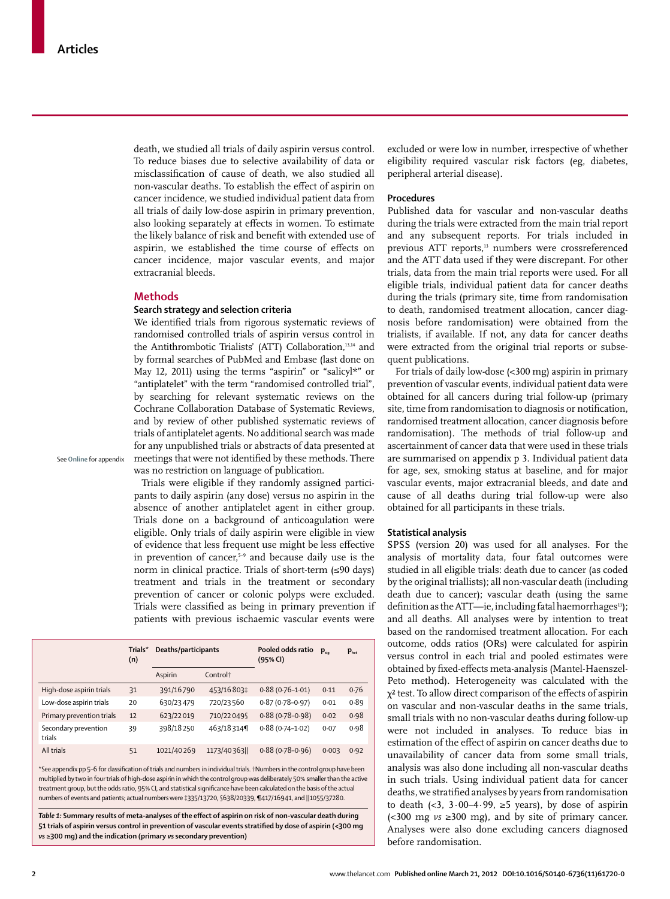death, we studied all trials of daily aspirin versus control. To reduce biases due to selective availability of data or misclassification of cause of death, we also studied all non-vascular deaths. To establish the effect of aspirin on cancer incidence, we studied individual patient data from all trials of daily low-dose aspirin in primary prevention, also looking separately at effects in women. To estimate the likely balance of risk and benefit with extended use of aspirin, we established the time course of effects on cancer incidence, major vascular events, and major extracranial bleeds.

## **Methods**

## **Search strategy and selection criteria**

We identified trials from rigorous systematic reviews of randomised controlled trials of aspirin versus control in the Antithrombotic Trialists' (ATT) Collaboration,<sup>13,14</sup> and by formal searches of PubMed and Embase (last done on May 12, 2011) using the terms "aspirin" or "salicyl\*" or "antiplatelet" with the term "randomised controlled trial", by searching for relevant systematic reviews on the Cochrane Collaboration Database of Systematic Reviews, and by review of other published systematic reviews of trials of antiplatelet agents. No additional search was made for any unpublished trials or abstracts of data presented at meetings that were not identified by these methods. There was no restriction on language of publication.

See **Online** for appendix

Trials were eligible if they randomly assigned participants to daily aspirin (any dose) versus no aspirin in the absence of another antiplatelet agent in either group. Trials done on a background of anticoagulation were eligible. Only trials of daily aspirin were eligible in view of evidence that less frequent use might be less effective in prevention of cancer,<sup>5-9</sup> and because daily use is the norm in clinical practice. Trials of short-term (≤90 days) treatment and trials in the treatment or secondary prevention of cancer or colonic polyps were excluded. Trials were classified as being in primary prevention if patients with previous ischaemic vascular events were

|                                | Trials*<br>(n) | Deaths/participants |                      | Pooled odds ratio<br>(95% CI) | $\mathbf{p}_{\rm sia}$ | $P_{het}$ |
|--------------------------------|----------------|---------------------|----------------------|-------------------------------|------------------------|-----------|
|                                |                | Aspirin             | Control <sup>+</sup> |                               |                        |           |
| High-dose aspirin trials       | 31             | 391/16790           | 453/16803‡           | $0.88(0.76 - 1.01)$           | 0.11                   | 0.76      |
| Low-dose aspirin trials        | 20             | 630/23479           | 720/23560            | $0.87(0.78 - 0.97)$           | 0.01                   | 0.89      |
| Primary prevention trials      | 12             | 623/22019           | 710/22049            | $0.88(0.78 - 0.98)$           | 0.02                   | 0.98      |
| Secondary prevention<br>trials | 39             | 398/18250           | 463/18314¶           | $0.88(0.74 - 1.02)$           | 0.07                   | 0.98      |
| All trials                     | 51             | 1021/40269          | 1173/40363           | $0.88(0.78 - 0.96)$           | 0.003                  | 0.92      |

\*See appendix pp 5–6 for classifi cation of trials and numbers in individual trials. †Numbers in the control group have been multiplied by two in four trials of high-dose aspirin in which the control group was deliberately 50% smaller than the active treatment group, but the odds ratio, 95% CI, and statistical significance have been calculated on the basis of the actual numbers of events and patients; actual numbers were ‡335/13720, §638/20339, ¶417/16941, and ||1055/37280.

Table 1: Summary results of meta-analyses of the effect of aspirin on risk of non-vascular death during 51 trials of aspirin versus control in prevention of vascular events stratified by dose of aspirin (<300 mg *vs* **≥300 mg) and the indication (primary** *vs* **secondary prevention)**

excluded or were low in number, irrespective of whether eligibility required vascular risk factors (eg, diabetes, peripheral arterial disease).

## **Procedures**

Published data for vascular and non-vascular deaths during the trials were extracted from the main trial report and any subsequent reports. For trials included in previous ATT reports,<sup>13</sup> numbers were crossreferenced and the ATT data used if they were discrepant. For other trials, data from the main trial reports were used. For all eligible trials, individual patient data for cancer deaths during the trials (primary site, time from randomisation to death, randomised treatment allocation, cancer diagnosis before randomisation) were obtained from the trialists, if available. If not, any data for cancer deaths were extracted from the original trial reports or subsequent publications.

For trials of daily low-dose (<300 mg) aspirin in primary prevention of vascular events, individual patient data were obtained for all cancers during trial follow-up (primary site, time from randomisation to diagnosis or notification, randomised treatment allocation, cancer diagnosis before randomisation). The methods of trial follow-up and ascertainment of cancer data that were used in these trials are summarised on appendix p 3. Individual patient data for age, sex, smoking status at baseline, and for major vascular events, major extracranial bleeds, and date and cause of all deaths during trial follow-up were also obtained for all participants in these trials.

## **Statistical analysis**

SPSS (version 20) was used for all analyses. For the analysis of mortality data, four fatal outcomes were studied in all eligible trials: death due to cancer (as coded by the original triallists); all non-vascular death (including death due to cancer); vascular death (using the same definition as the ATT-ie, including fatal haemorrhages<sup>13</sup>); and all deaths. All analyses were by intention to treat based on the randomised treatment allocation. For each outcome, odds ratios (ORs) were calculated for aspirin versus control in each trial and pooled estimates were obtained by fixed-effects meta-analysis (Mantel-Haenszel-Peto method). Heterogeneity was calculated with the  $\chi^2$  test. To allow direct comparison of the effects of aspirin on vascular and non-vascular deaths in the same trials, small trials with no non-vascular deaths during follow-up were not included in analyses. To reduce bias in estimation of the effect of aspirin on cancer deaths due to unavailability of cancer data from some small trials, analysis was also done including all non-vascular deaths in such trials. Using individual patient data for cancer deaths, we stratified analyses by years from randomisation to death  $\left( <3, 3.00-4.99, \geq 5 \right)$  years), by dose of aspirin (<300 mg *vs* ≥300 mg), and by site of primary cancer. Analyses were also done excluding cancers diagnosed before randomisation.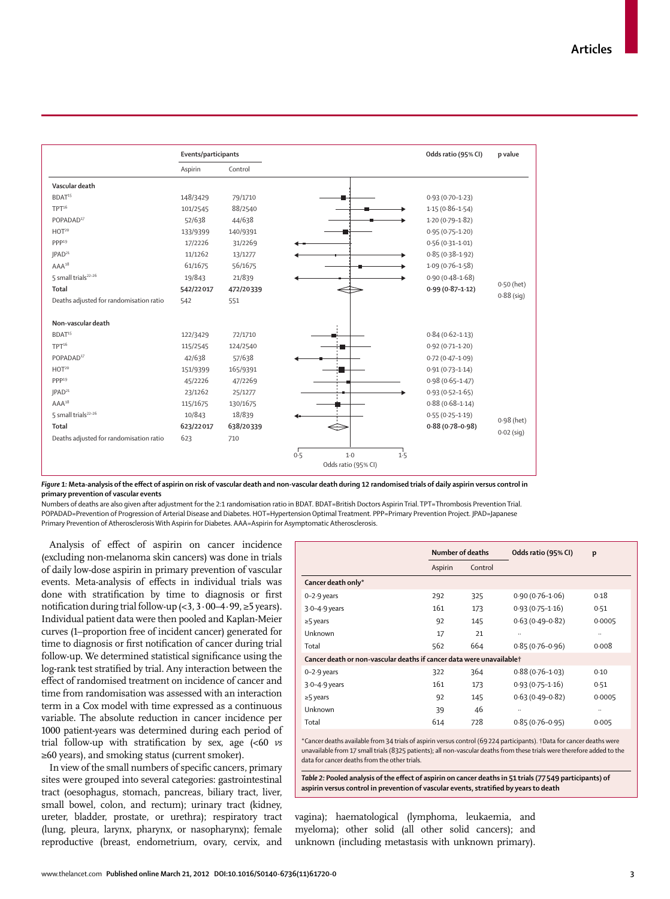|                                          | Events/participants |           | Odds ratio (95% CI) | p value      |
|------------------------------------------|---------------------|-----------|---------------------|--------------|
|                                          | Aspirin             | Control   |                     |              |
| Vascular death                           |                     |           |                     |              |
| BDAT <sup>15</sup>                       | 148/3429            | 79/1710   | $0.93(0.70 - 1.23)$ |              |
| TPT <sup>16</sup>                        | 101/2545            | 88/2540   | $1.15(0.86 - 1.54)$ |              |
| POPADAD <sup>17</sup>                    | 52/638              | 44/638    | $1.20(0.79 - 1.82)$ |              |
| HOT <sup>20</sup>                        | 133/9399            | 140/9391  | $0.95(0.75 - 1.20)$ |              |
| PPP <sup>19</sup>                        | 17/2226             | 31/2269   | $0.56(0.31 - 1.01)$ |              |
| JPAD <sup>21</sup>                       | 11/1262             | 13/1277   | $0.85(0.38 - 1.92)$ |              |
| AAA <sup>18</sup>                        | 61/1675             | 56/1675   | $1.09(0.76 - 1.58)$ |              |
| 5 small trials <sup>22-26</sup>          | 19/843              | 21/839    | $0.90(0.48 - 1.68)$ |              |
| Total                                    | 542/22017           | 472/20339 | $0.99(0.87 - 1.12)$ | $0.50$ (het) |
| Deaths adjusted for randomisation ratio  | 542                 | 551       |                     | $0.88$ (sig) |
| Non-vascular death                       |                     |           |                     |              |
| BDAT <sup>15</sup>                       | 122/3429            | 72/1710   | $0.84(0.62 - 1.13)$ |              |
| TPT <sup>16</sup>                        | 115/2545            | 124/2540  | $0.92(0.71 - 1.20)$ |              |
| POPADAD <sup>17</sup>                    | 42/638              | 57/638    | $0.72(0.47 - 1.09)$ |              |
| HOT <sup>20</sup>                        | 151/9399            | 165/9391  | $0.91(0.73 - 1.14)$ |              |
| PPP <sup>19</sup>                        | 45/2226             | 47/2269   | $0.98(0.65 - 1.47)$ |              |
| JPAD <sup>21</sup>                       | 23/1262             | 25/1277   | $0.93(0.52 - 1.65)$ |              |
| AAA <sup>18</sup>                        | 115/1675            | 130/1675  | $0.88(0.68 - 1.14)$ |              |
|                                          | 10/843              | 18/839    | $0.55(0.25 - 1.19)$ | $0.98$ (het) |
|                                          |                     |           |                     |              |
| 5 small trials <sup>22-26</sup><br>Total | 623/22017           | 638/20339 | $0.88(0.78 - 0.98)$ | $0.02$ (sig) |

Figure 1: Meta-analysis of the effect of aspirin on risk of vascular death and non-vascular death during 12 randomised trials of daily aspirin versus control in **primary prevention of vascular events**

Numbers of deaths are also given after adjustment for the 2:1 randomisation ratio in BDAT. BDAT=British Doctors Aspirin Trial. TPT=Thrombosis Prevention Trial. POPADAD=Prevention of Progression of Arterial Disease and Diabetes. HOT=Hypertension Optimal Treatment. PPP=Primary Prevention Project. JPAD=Japanese Primary Prevention of Atherosclerosis With Aspirin for Diabetes. AAA=Aspirin for Asymptomatic Atherosclerosis.

Analysis of effect of aspirin on cancer incidence (excluding non-melanoma skin cancers) was done in trials of daily low-dose aspirin in primary prevention of vascular events. Meta-analysis of effects in individual trials was done with stratification by time to diagnosis or first notification during trial follow-up (<3,  $3 \cdot 00 - 4 \cdot 99$ ,  $\geq 5$  years). Individual patient data were then pooled and Kaplan-Meier curves (1–proportion free of incident cancer) generated for time to diagnosis or first notification of cancer during trial follow-up. We determined statistical significance using the log-rank test stratified by trial. Any interaction between the effect of randomised treatment on incidence of cancer and time from randomisation was assessed with an interaction term in a Cox model with time expressed as a continuous variable. The absolute reduction in cancer incidence per 1000 patient-years was determined during each period of trial follow-up with stratification by sex, age (<60 *vs* ≥60 years), and smoking status (current smoker).

In view of the small numbers of specific cancers, primary sites were grouped into several categories: gastrointestinal tract (oesophagus, stomach, pancreas, biliary tract, liver, small bowel, colon, and rectum); urinary tract (kidney, ureter, bladder, prostate, or urethra); respiratory tract (lung, pleura, larynx, pharynx, or nasopharynx); female reproductive (breast, endometrium, ovary, cervix, and

|                                                                       | <b>Number of deaths</b><br>Control<br>Aspirin |     | Odds ratio (95% CI) | p      |  |  |  |
|-----------------------------------------------------------------------|-----------------------------------------------|-----|---------------------|--------|--|--|--|
|                                                                       |                                               |     |                     |        |  |  |  |
| Cancer death only*                                                    |                                               |     |                     |        |  |  |  |
| $0-2.9$ years                                                         | 292                                           | 325 | $0.90(0.76 - 1.06)$ | 0.18   |  |  |  |
| $3.0 - 4.9$ years                                                     | 161                                           | 173 | $0.93(0.75 - 1.16)$ | 0.51   |  |  |  |
| $\geq$ 5 years                                                        | 92                                            | 145 | $0.63(0.49 - 0.82)$ | 0.0005 |  |  |  |
| Unknown                                                               | 17                                            | 21  |                     |        |  |  |  |
| Total                                                                 | 562                                           | 664 | $0.85(0.76 - 0.96)$ | 0.008  |  |  |  |
| Cancer death or non-vascular deaths if cancer data were unavailable t |                                               |     |                     |        |  |  |  |
| $0-2.9$ years                                                         | 322                                           | 364 | $0.88(0.76 - 1.03)$ | 0.10   |  |  |  |
| $3.0 - 4.9$ years                                                     | 161                                           | 173 | $0.93(0.75 - 1.16)$ | 0.51   |  |  |  |
| $\geq$ 5 years                                                        | 92                                            | 145 | $0.63(0.49 - 0.82)$ | 0.0005 |  |  |  |
| Unknown                                                               | 39                                            | 46  |                     |        |  |  |  |
| Total                                                                 | 614                                           | 728 | $0.85(0.76 - 0.95)$ | 0.005  |  |  |  |

\*Cancer deaths available from 34 trials of aspirin versus control (69 224 participants). †Data for cancer deaths were unavailable from 17 small trials (8325 patients); all non-vascular deaths from these trials were therefore added to the data for cancer deaths from the other trials.

Table 2: Pooled analysis of the effect of aspirin on cancer deaths in 51 trials (77 549 participants) of aspirin versus control in prevention of vascular events, stratified by years to death

vagina); haematological (lymphoma, leukaemia, and myeloma); other solid (all other solid cancers); and unknown (including metastasis with unknown primary).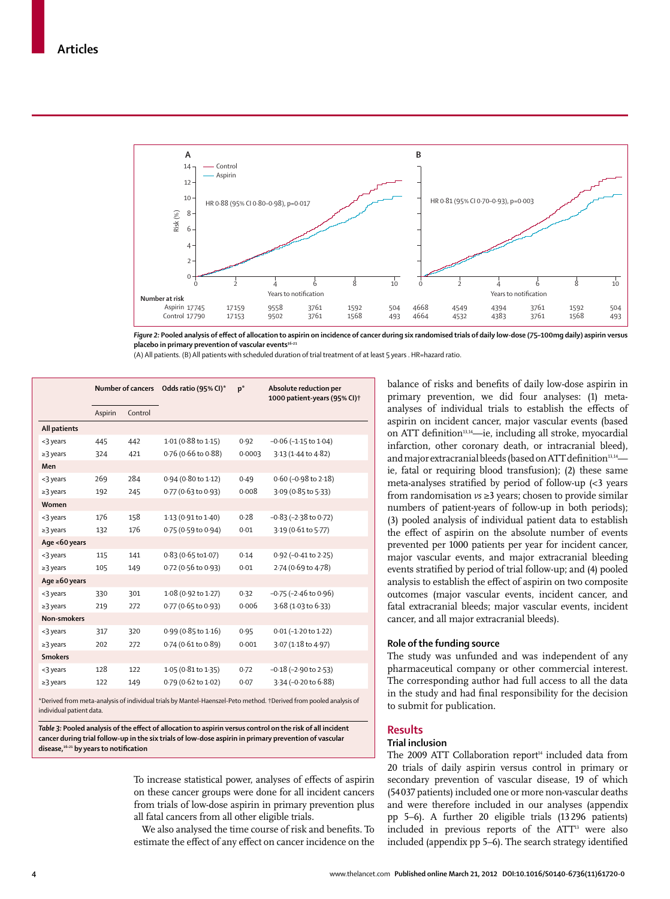

*Figure 2:* **Pooled analysis of eff ect of allocation to aspirin on incidence of cancer during six randomised trials of daily low-dose (75–100mg daily) aspirin versus**  placebo in primary prevention of vascular events<sup>16-21</sup>

(A) All patients. (B) All patients with scheduled duration of trial treatment of at least 5 years . HR=hazard ratio.

|                | Number of cancers |         | Odds ratio (95% CI)* | $p^*$  | Absolute reduction per<br>1000 patient-years (95% CI) <sup>+</sup> |  |
|----------------|-------------------|---------|----------------------|--------|--------------------------------------------------------------------|--|
|                | Aspirin           | Control |                      |        |                                                                    |  |
| All patients   |                   |         |                      |        |                                                                    |  |
| <3 years       | 445               | 442     | 1.01 (0.88 to 1.15)  | 0.92   | $-0.06$ ( $-1.15$ to $1.04$ )                                      |  |
| ≥3 years       | 324               | 421     | 0.76 (0.66 to 0.88)  | 0.0003 | 3.13 (1.44 to 4.82)                                                |  |
| Men            |                   |         |                      |        |                                                                    |  |
| <3 years       | 269               | 284     | 0.94 (0.80 to 1.12)  | 0.49   | 0.60 (-0.98 to 2.18)                                               |  |
| $\geq$ 3 years | 192               | 245     | 0.77 (0.63 to 0.93)  | 0.008  | 3.09 (0.85 to 5.33)                                                |  |
| Women          |                   |         |                      |        |                                                                    |  |
| <3 years       | 176               | 158     | 1.13 (0.91 to 1.40)  | 0.28   | $-0.83$ ( $-2.38$ to 0.72)                                         |  |
| $\geq$ 3 years | 132               | 176     | 0.75 (0.59 to 0.94)  | 0.01   | 3.19 (0.61 to 5.77)                                                |  |
| Age <60 years  |                   |         |                      |        |                                                                    |  |
| <3 years       | 115               | 141     | 0.83 (0.65 to1.07)   | 0.14   | 0.92 (-0.41 to 2.25)                                               |  |
| $\geq$ 3 years | 105               | 149     | 0.72 (0.56 to 0.93)  | 0.01   | 2.74 (0.69 to 4.78)                                                |  |
| Age ≥60 years  |                   |         |                      |        |                                                                    |  |
| <3 years       | 330               | 301     | 1.08 (0.92 to 1.27)  | 0.32   | $-0.75$ ( $-2.46$ to $0.96$ )                                      |  |
| ≥3 years       | 219               | 272     | 0.77 (0.65 to 0.93)  | 0.006  | 3.68 (1.03 to 6.33)                                                |  |
| Non-smokers    |                   |         |                      |        |                                                                    |  |
| <3 years       | 317               | 320     | 0.99 (0.85 to 1.16)  | 0.95   | 0.01 (-1.20 to 1.22)                                               |  |
| $\geq$ 3 years | 202               | 272     | 0.74 (0.61 to 0.89)  | 0.001  | 3.07 (1.18 to 4.97)                                                |  |
| <b>Smokers</b> |                   |         |                      |        |                                                                    |  |
| <3 years       | 128               | 122     | 1.05 (0.81 to 1.35)  | 0.72   | $-0.18$ ( $-2.90$ to $2.53$ )                                      |  |
| $\geq$ 3 years | 122               | 149     | 0.79 (0.62 to 1.02)  | 0.07   | 3.34 (-0.20 to 6.88)                                               |  |
|                |                   |         |                      |        |                                                                    |  |

\*Derived from meta-analysis of individual trials by Mantel-Haenszel-Peto method. †Derived from pooled analysis of individual patient data.

Table 3: Pooled analysis of the effect of allocation to aspirin versus control on the risk of all incident **cancer during trial follow-up in the six trials of low-dose aspirin in primary prevention of vascular**  disease,<sup>16-21</sup> by years to notification

> To increase statistical power, analyses of effects of aspirin on these cancer groups were done for all incident cancers from trials of low-dose aspirin in primary prevention plus all fatal cancers from all other eligible trials.

> We also analysed the time course of risk and benefits. To estimate the effect of any effect on cancer incidence on the

balance of risks and benefits of daily low-dose aspirin in primary prevention, we did four analyses: (1) metaanalyses of individual trials to establish the effects of aspirin on incident cancer, major vascular events (based on ATT definition<sup>13,14</sup>—ie, including all stroke, myocardial infarction, other coronary death, or intracranial bleed), and major extracranial bleeds (based on ATT definition<sup>13,14</sup> ie, fatal or requiring blood transfusion); (2) these same meta-analyses stratified by period of follow-up  $\langle$ <3 years from randomisation *vs* ≥3 years; chosen to provide similar numbers of patient-years of follow-up in both periods); (3) pooled analysis of individual patient data to establish the effect of aspirin on the absolute number of events prevented per 1000 patients per year for incident cancer, major vascular events, and major extracranial bleeding events stratified by period of trial follow-up; and (4) pooled analysis to establish the effect of aspirin on two composite outcomes (major vascular events, incident cancer, and fatal extracranial bleeds; major vascular events, incident cancer, and all major extracranial bleeds).

#### **Role of the funding source**

The study was unfunded and was independent of any pharmaceutical company or other commercial interest. The corresponding author had full access to all the data in the study and had final responsibility for the decision to submit for publication.

## **Results**

# **Trial inclusion**

The 2009 ATT Collaboration report<sup>14</sup> included data from 20 trials of daily aspirin versus control in primary or secondary prevention of vascular disease, 19 of which (54 037 patients) included one or more non-vascular deaths and were therefore included in our analyses (appendix pp 5–6). A further 20 eligible trials (13 296 patients) included in previous reports of the ATT<sup>13</sup> were also included (appendix pp 5–6). The search strategy identified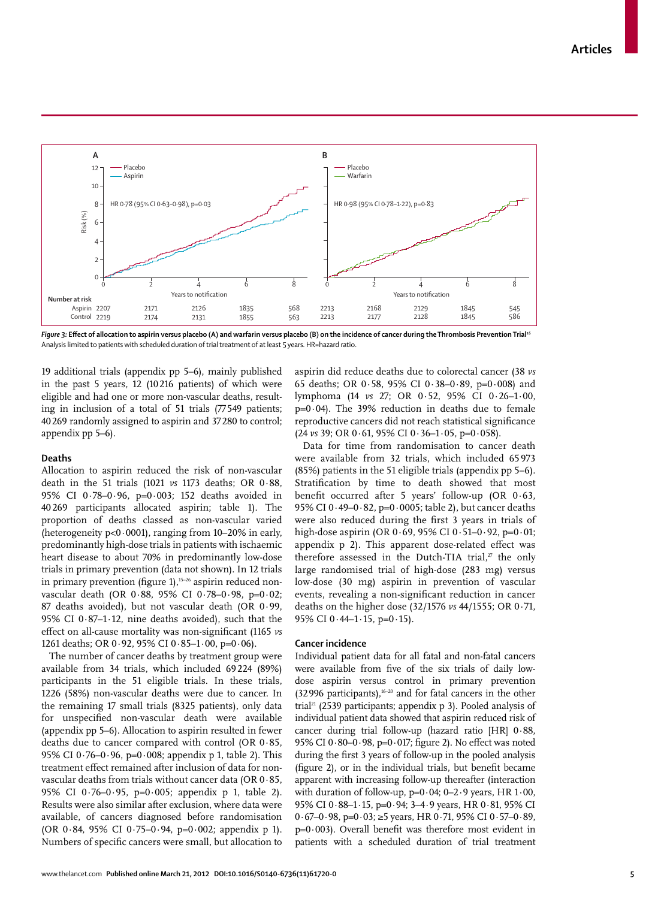

Figure 3: Effect of allocation to aspirin versus placebo (A) and warfarin versus placebo (B) on the incidence of cancer during the Thrombosis Prevention Trial<sup>16</sup> Analysis limited to patients with scheduled duration of trial treatment of at least 5 years. HR=hazard ratio.

19 additional trials (appendix pp 5–6), mainly published in the past 5 years, 12 (10 216 patients) of which were eligible and had one or more non-vascular deaths, resulting in inclusion of a total of 51 trials (77 549 patients; 40 269 randomly assigned to aspirin and 37 280 to control; appendix pp 5–6).

## **Deaths**

Allocation to aspirin reduced the risk of non-vascular death in the 51 trials (1021 *vs* 1173 deaths; OR 0·88, 95% CI 0·78–0·96, p=0·003; 152 deaths avoided in 40 269 participants allocated aspirin; table 1). The proportion of deaths classed as non-vascular varied (heterogeneity p<0·0001), ranging from 10–20% in early, predominantly high-dose trials in patients with ischaemic heart disease to about 70% in predominantly low-dose trials in primary prevention (data not shown). In 12 trials in primary prevention (figure 1),<sup>15-26</sup> aspirin reduced nonvascular death (OR 0·88, 95% CI 0·78–0·98, p=0·02; 87 deaths avoided), but not vascular death (OR 0·99, 95% CI 0·87–1·12, nine deaths avoided), such that the effect on all-cause mortality was non-significant (1165 vs 1261 deaths; OR 0·92, 95% CI 0·85–1·00, p=0·06).

The number of cancer deaths by treatment group were available from 34 trials, which included 69 224 (89%) participants in the 51 eligible trials. In these trials, 1226 (58%) non-vascular deaths were due to cancer. In the remaining 17 small trials (8325 patients), only data for unspecified non-vascular death were available (appendix pp 5–6). Allocation to aspirin resulted in fewer deaths due to cancer compared with control (OR 0·85, 95% CI 0 $-76-0.96$ , p=0 $-0.008$ ; appendix p 1, table 2). This treatment effect remained after inclusion of data for nonvascular deaths from trials without cancer data (OR 0·85, 95% CI 0·76–0·95, p=0·005; appendix p 1, table 2). Results were also similar after exclusion, where data were available, of cancers diagnosed before randomisation (OR 0·84, 95% CI 0·75–0·94, p=0·002; appendix p 1). Numbers of specific cancers were small, but allocation to aspirin did reduce deaths due to colorectal cancer (38 *vs* 65 deaths; OR 0·58, 95% CI 0·38–0·89, p=0·008) and lymphoma (14 *vs* 27; OR 0·52, 95% CI 0·26–1·00,  $p=0.04$ ). The 39% reduction in deaths due to female reproductive cancers did not reach statistical significance (24 *vs* 39; OR 0·61, 95% CI 0·36–1·05, p=0·058).

Data for time from randomisation to cancer death were available from 32 trials, which included 65 973 (85%) patients in the 51 eligible trials (appendix pp 5–6). Stratification by time to death showed that most benefit occurred after 5 years' follow-up (OR 0.63, 95% CI 0·49–0·82, p=0·0005; table 2), but cancer deaths were also reduced during the first 3 years in trials of high-dose aspirin (OR 0.69, 95% CI 0.51-0.92, p=0.01; appendix  $p$  2). This apparent dose-related effect was therefore assessed in the Dutch-TIA trial, $x$  the only large randomised trial of high-dose (283 mg) versus low-dose (30 mg) aspirin in prevention of vascular events, revealing a non-significant reduction in cancer deaths on the higher dose (32/1576 *vs* 44/1555; OR 0·71, 95% CI  $0.44-1.15$ , p= $0.15$ ).

#### **Cancer incidence**

Individual patient data for all fatal and non-fatal cancers were available from five of the six trials of daily lowdose aspirin versus control in primary prevention  $(32996$  participants),<sup>16–20</sup> and for fatal cancers in the other trial<sup>21</sup> (2539 participants; appendix p 3). Pooled analysis of individual patient data showed that aspirin reduced risk of cancer during trial follow-up (hazard ratio [HR] 0·88, 95% CI 0 $\cdot$ 80-0 $\cdot$ 98, p=0 $\cdot$ 017; figure 2). No effect was noted during the first 3 years of follow-up in the pooled analysis (figure 2), or in the individual trials, but benefit became apparent with increasing follow-up thereafter (interaction with duration of follow-up,  $p=0.04$ ;  $0-2.9$  years, HR 1.00, 95% CI 0·88–1·15, p=0·94; 3–4·9 years, HR 0·81, 95% CI  $0.67-0.98$ , p= $0.03$ ; ≥5 years, HR  $0.71$ , 95% CI  $0.57-0.89$ ,  $p=0.003$ ). Overall benefit was therefore most evident in patients with a scheduled duration of trial treatment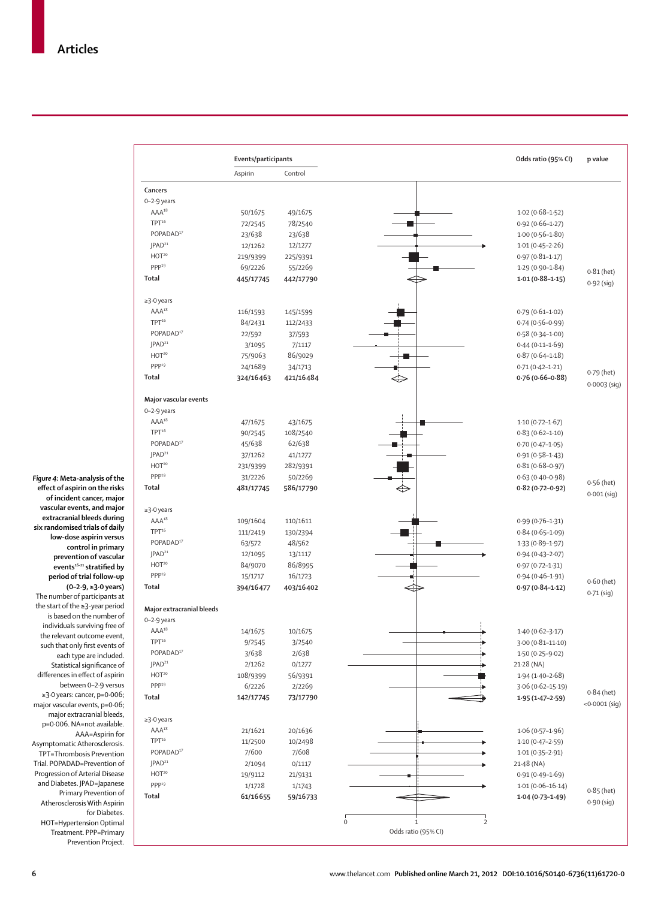|                                                                             |                           | Events/participants |           |                                                       | Odds ratio (95% CI)  |                              |  |
|-----------------------------------------------------------------------------|---------------------------|---------------------|-----------|-------------------------------------------------------|----------------------|------------------------------|--|
|                                                                             |                           | Aspirin             | Control   |                                                       |                      |                              |  |
|                                                                             | Cancers                   |                     |           |                                                       |                      |                              |  |
|                                                                             | $0-2.9$ years             |                     |           |                                                       |                      |                              |  |
|                                                                             | AAA <sup>18</sup>         | 50/1675             | 49/1675   |                                                       | $1.02(0.68 - 1.52)$  |                              |  |
|                                                                             | TPT <sup>16</sup>         | 72/2545             | 78/2540   |                                                       | $0.92(0.66 - 1.27)$  |                              |  |
|                                                                             | POPADAD <sup>17</sup>     | 23/638              | 23/638    |                                                       | $1.00(0.56 - 1.80)$  |                              |  |
|                                                                             | JPAD <sup>21</sup>        | 12/1262             | 12/1277   |                                                       | $1.01(0.45 - 2.26)$  |                              |  |
|                                                                             | HOT <sup>20</sup>         | 219/9399            | 225/9391  |                                                       | $0.97(0.81 - 1.17)$  |                              |  |
|                                                                             | PPP <sup>19</sup>         | 69/2226             | 55/2269   |                                                       | $1.29(0.90 - 1.84)$  |                              |  |
|                                                                             | Total                     | 445/17745           | 442/17790 |                                                       | $1.01(0.88 - 1.15)$  | $0.81$ (het)<br>$0.92$ (sig) |  |
|                                                                             | $\geq$ 3.0 years          |                     |           |                                                       |                      |                              |  |
|                                                                             | AAA <sup>18</sup>         | 116/1593            | 145/1599  |                                                       | $0.79(0.61 - 1.02)$  |                              |  |
|                                                                             | TPT <sup>16</sup>         | 84/2431             | 112/2433  |                                                       | $0.74(0.56 - 0.99)$  |                              |  |
|                                                                             | POPADAD <sup>17</sup>     | 22/592              | 37/593    |                                                       | $0.58(0.34 - 1.00)$  |                              |  |
|                                                                             | JPAD <sup>21</sup>        | 3/1095              | 7/1117    |                                                       | $0.44(0.11 - 1.69)$  |                              |  |
|                                                                             | HOT <sup>20</sup>         | 75/9063             | 86/9029   |                                                       | $0.87(0.64 - 1.18)$  |                              |  |
|                                                                             | PPP <sup>19</sup>         | 24/1689             | 34/1713   |                                                       | $0.71(0.42 - 1.21)$  |                              |  |
|                                                                             | Total                     | 324/16463           | 421/16484 | ↔                                                     | $0.76(0.66 - 0.88)$  | 0.79 (het)                   |  |
|                                                                             | Major vascular events     |                     |           |                                                       |                      | 0.0003 (sig)                 |  |
|                                                                             | $0-2.9$ years             |                     |           |                                                       |                      |                              |  |
|                                                                             | AAA <sup>18</sup>         | 47/1675             | 43/1675   |                                                       | $1.10(0.72 - 1.67)$  |                              |  |
|                                                                             | TPT <sup>16</sup>         | 90/2545             | 108/2540  |                                                       | $0.83(0.62 - 1.10)$  |                              |  |
|                                                                             | POPADAD <sup>17</sup>     |                     |           |                                                       | $0.70(0.47 - 1.05)$  |                              |  |
|                                                                             | JPAD <sup>21</sup>        | 45/638              | 62/638    |                                                       |                      |                              |  |
|                                                                             | HOT <sup>20</sup>         | 37/1262             | 41/1277   |                                                       | $0.91(0.58 - 1.43)$  |                              |  |
|                                                                             |                           | 231/9399            | 282/9391  |                                                       | $0.81(0.68 - 0.97)$  |                              |  |
| Figure 4: Meta-analysis of the                                              | PPP <sup>19</sup>         | 31/2226             | 50/2269   |                                                       | $0.63(0.40 - 0.98)$  | $0.56$ (het)                 |  |
| effect of aspirin on the risks                                              | Total                     | 481/17745           | 586/17790 |                                                       | $0.82(0.72 - 0.92)$  | $0.001$ (sig)                |  |
| of incident cancer, major                                                   |                           |                     |           |                                                       |                      |                              |  |
| vascular events, and major<br>extracranial bleeds during                    | $\geq$ 3.0 years          |                     |           |                                                       |                      |                              |  |
| six randomised trials of daily                                              | AAA <sup>18</sup>         | 109/1604            | 110/1611  |                                                       | $0.99(0.76 - 1.31)$  |                              |  |
| low-dose aspirin versus                                                     | TPT <sup>16</sup>         | 111/2419            | 130/2394  |                                                       | $0.84(0.65 - 1.09)$  |                              |  |
| control in primary                                                          | POPADAD <sup>17</sup>     | 63/572              | 48/562    |                                                       | $1.33(0.89 - 1.97)$  |                              |  |
| prevention of vascular                                                      | JPAD <sup>21</sup>        | 12/1095             | 13/1117   |                                                       | $0.94(0.43 - 2.07)$  |                              |  |
| $\overline{\text{events}}^{\scriptscriptstyle{16\text{-}21}}$ stratified by | HOT <sup>20</sup>         | 84/9070             | 86/8995   |                                                       | $0.97(0.72 - 1.31)$  |                              |  |
| period of trial follow-up                                                   | PPP <sup>19</sup>         | 15/1717             | 16/1723   |                                                       | $0.94(0.46 - 1.91)$  | $0.60$ (het)                 |  |
| $(0-2.9, ≥3.0 \text{ years})$                                               | Total                     | 394/16477           | 403/16402 | ⇔                                                     | $0.97(0.84 - 1.12)$  | $0.71$ (sig)                 |  |
| The number of participants at                                               |                           |                     |           |                                                       |                      |                              |  |
| the start of the ≥3-year period                                             | Major extracranial bleeds |                     |           |                                                       |                      |                              |  |
| is based on the number of                                                   | $0 - 2.9$ years           |                     |           |                                                       |                      |                              |  |
| individuals surviving free of<br>the relevant outcome event,                | AAA <sup>18</sup>         | 14/1675             | 10/1675   |                                                       | $1.40(0.62 - 3.17)$  |                              |  |
| such that only first events of                                              | TPT <sup>16</sup>         | 9/2545              | 3/2540    |                                                       | $3.00(0.81 - 11.10)$ |                              |  |
| each type are included.                                                     | POPADAD <sup>17</sup>     | 3/638               | 2/638     |                                                       | 1.50 (0.25-9.02)     |                              |  |
| Statistical significance of                                                 | JPAD <sup>21</sup>        | 2/1262              | 0/1277    |                                                       | $21.28$ (NA)         |                              |  |
| differences in effect of aspirin                                            | HOT <sup>20</sup>         | 108/9399            | 56/9391   |                                                       | $1.94(1.40 - 2.68)$  |                              |  |
| between 0-2.9 versus                                                        | PPP <sup>19</sup>         | 6/2226              | 2/2269    |                                                       | $3.06(0.62 - 15.19)$ |                              |  |
| ≥3.0 years: cancer, p=0.006;                                                | Total                     | 142/17745           | 73/17790  |                                                       | $1.95(1.47 - 2.59)$  | $0.84$ (het)                 |  |
| major vascular events, p=0.06;                                              |                           |                     |           |                                                       |                      | $<$ 0.0001 (sig)             |  |
| major extracranial bleeds,                                                  | $\geq$ 3.0 years          |                     |           |                                                       |                      |                              |  |
| p=0.006. NA=not available.                                                  | AAA <sup>18</sup>         | 21/1621             | 20/1636   |                                                       | $1.06(0.57-1.96)$    |                              |  |
| AAA=Aspirin for                                                             | TPT <sup>16</sup>         | 11/2500             | 10/2498   |                                                       | $1.10(0.47 - 2.59)$  |                              |  |
| Asymptomatic Atherosclerosis.                                               | POPADAD <sup>17</sup>     | 7/600               | 7/608     |                                                       | $1.01(0.35 - 2.91)$  |                              |  |
| TPT=Thrombosis Prevention<br>Trial. POPADAD=Prevention of                   | JPAD <sup>21</sup>        |                     |           |                                                       |                      |                              |  |
| Progression of Arterial Disease                                             | HOT <sup>20</sup>         | 2/1094              | 0/1117    |                                                       | $21.48$ (NA)         |                              |  |
| and Diabetes. JPAD=Japanese                                                 | PPP <sup>19</sup>         | 19/9112             | 21/9131   |                                                       | $0.91(0.49 - 1.69)$  |                              |  |
| Primary Prevention of                                                       |                           | 1/1728              | 1/1743    |                                                       | $1.01(0.06 - 16.14)$ | $0.85$ (het)                 |  |
| Atherosclerosis With Aspirin                                                | Total                     | 61/16655            | 59/16733  |                                                       | $1.04(0.73 - 1.49)$  | $0.90$ (sig)                 |  |
| for Diabetes.                                                               |                           |                     |           |                                                       |                      |                              |  |
| HOT=Hypertension Optimal                                                    |                           |                     |           | $\mathsf{O}\xspace$<br>$\overline{2}$<br>$\mathbf{1}$ |                      |                              |  |
| Treatment, PPP=Primary                                                      |                           |                     |           | Odds ratio (95% CI)                                   |                      |                              |  |

Prevention Project.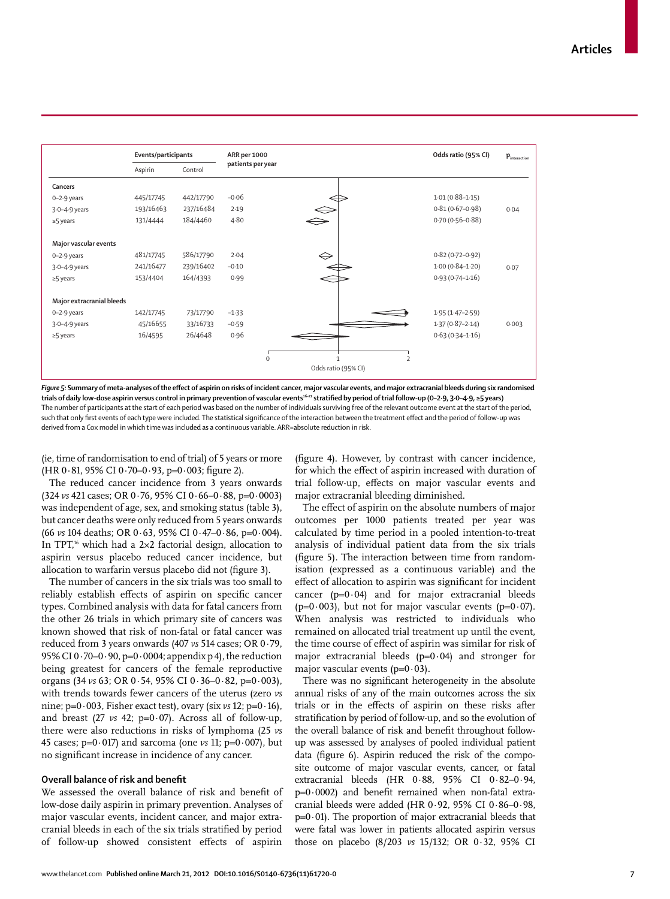

Figure 5: Summary of meta-analyses of the effect of aspirin on risks of incident cancer, major vascular events, and major extracranial bleeds during six randomised trials of daily low-dose aspirin versus control in primary prevention of vascular events<sup>16-21</sup> stratified by period of trial follow-up (0-2·9, 3·0-4·9, ≥5 years) The number of participants at the start of each period was based on the number of individuals surviving free of the relevant outcome event at the start of the period, such that only first events of each type were included. The statistical significance of the interaction between the treatment effect and the period of follow-up was derived from a Cox model in which time was included as a continuous variable. ARR=absolute reduction in risk.

(ie, time of randomisation to end of trial) of 5 years or more  $(HR 0.81, 95\% CI 0.70-0.93, p=0.003; figure 2).$ 

The reduced cancer incidence from 3 years onwards (324 *vs* 421 cases; OR 0·76, 95% CI 0·66–0·88, p=0·0003) was independent of age, sex, and smoking status (table 3), but cancer deaths were only reduced from 5 years onwards (66 *vs* 104 deaths; OR 0·63, 95% CI 0·47–0·86, p=0·004). In TPT,<sup>16</sup> which had a  $2\times2$  factorial design, allocation to aspirin versus placebo reduced cancer incidence, but allocation to warfarin versus placebo did not (figure 3).

The number of cancers in the six trials was too small to reliably establish effects of aspirin on specific cancer types. Combined analysis with data for fatal cancers from the other 26 trials in which primary site of cancers was known showed that risk of non-fatal or fatal cancer was reduced from 3 years onwards (407 *vs* 514 cases; OR 0·79, 95% CI 0·70-0·90, p=0·0004; appendix p 4), the reduction being greatest for cancers of the female reproductive organs (34 *vs* 63; OR 0·54, 95% CI 0·36–0·82, p=0·003), with trends towards fewer cancers of the uterus (zero *vs* nine; p=0·003, Fisher exact test), ovary (six *vs* 12; p=0·16), and breast (27 *vs* 42; p=0·07). Across all of follow-up, there were also reductions in risks of lymphoma (25 *vs* 45 cases; p=0·017) and sarcoma (one *vs* 11; p=0·007), but no significant increase in incidence of any cancer.

#### **Overall balance of risk and benefit**

We assessed the overall balance of risk and benefit of low-dose daily aspirin in primary prevention. Analyses of major vascular events, incident cancer, and major extracranial bleeds in each of the six trials stratified by period of follow-up showed consistent effects of aspirin (figure 4). However, by contrast with cancer incidence, for which the effect of aspirin increased with duration of trial follow-up, effects on major vascular events and major extracranial bleeding diminished.

The effect of aspirin on the absolute numbers of major outcomes per 1000 patients treated per year was calculated by time period in a pooled intention-to-treat analysis of individual patient data from the six trials (figure 5). The interaction between time from randomisation (expressed as a continuous variable) and the effect of allocation to aspirin was significant for incident cancer ( $p=0.04$ ) and for major extracranial bleeds ( $p=0.003$ ), but not for major vascular events ( $p=0.07$ ). When analysis was restricted to individuals who remained on allocated trial treatment up until the event, the time course of effect of aspirin was similar for risk of major extracranial bleeds  $(p=0.04)$  and stronger for major vascular events  $(p=0.03)$ .

There was no significant heterogeneity in the absolute annual risks of any of the main outcomes across the six trials or in the effects of aspirin on these risks after stratification by period of follow-up, and so the evolution of the overall balance of risk and benefit throughout followup was assessed by analyses of pooled individual patient data (figure 6). Aspirin reduced the risk of the composite outcome of major vascular events, cancer, or fatal extracranial bleeds (HR 0·88, 95% CI 0·82–0·94,  $p=0.0002$ ) and benefit remained when non-fatal extracranial bleeds were added (HR 0·92, 95% CI 0·86–0·98,  $p=0.01$ ). The proportion of major extracranial bleeds that were fatal was lower in patients allocated aspirin versus those on placebo (8/203 *vs* 15/132; OR 0·32, 95% CI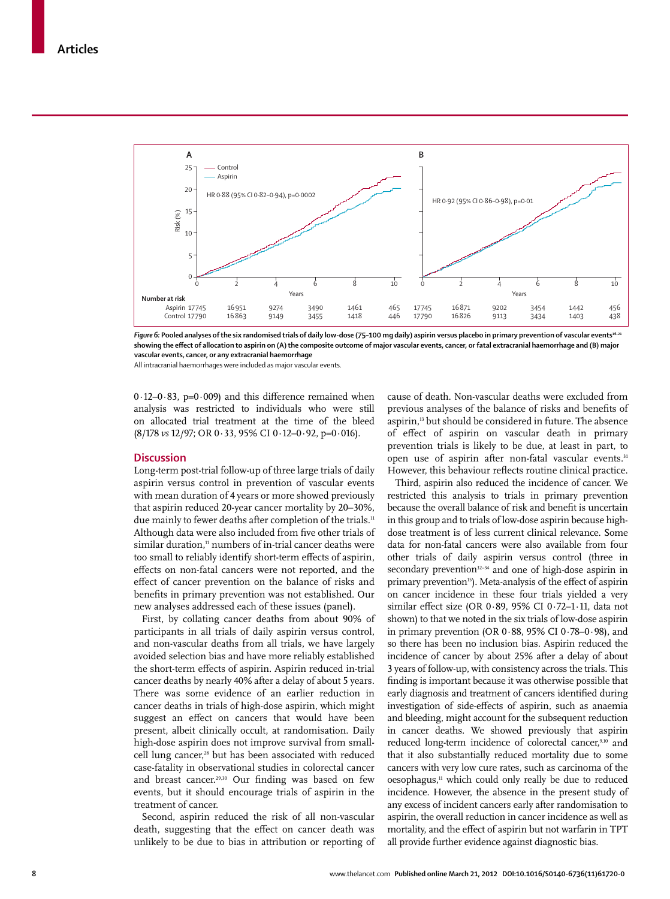

Figure 6: Pooled analyses of the six randomised trials of daily low-dose (75-100 mg daily) aspirin versus placebo in primary prevention of vascular events<sup>16-21</sup> showing the effect of allocation to aspirin on (A) the composite outcome of major vascular events, cancer, or fatal extracranial haemorrhage and (B) major **vascular events, cancer, or any extracranial haemorrhage**

All intracranial haemorrhages were included as major vascular events.

 $0.12-0.83$ , p=0.009) and this difference remained when analysis was restricted to individuals who were still on allocated trial treatment at the time of the bleed (8/178 *vs* 12/97; OR 0·33, 95% CI 0·12–0·92, p=0·016).

## **Discussion**

Long-term post-trial follow-up of three large trials of daily aspirin versus control in prevention of vascular events with mean duration of 4 years or more showed previously that aspirin reduced 20-year cancer mortality by 20–30%, due mainly to fewer deaths after completion of the trials.<sup>11</sup> Although data were also included from five other trials of similar duration,<sup>11</sup> numbers of in-trial cancer deaths were too small to reliably identify short-term effects of aspirin, effects on non-fatal cancers were not reported, and the effect of cancer prevention on the balance of risks and benefits in primary prevention was not established. Our new analyses addressed each of these issues (panel).

First, by collating cancer deaths from about 90% of participants in all trials of daily aspirin versus control, and non-vascular deaths from all trials, we have largely avoided selection bias and have more reliably established the short-term effects of aspirin. Aspirin reduced in-trial cancer deaths by nearly 40% after a delay of about 5 years. There was some evidence of an earlier reduction in cancer deaths in trials of high-dose aspirin, which might suggest an effect on cancers that would have been present, albeit clinically occult, at randomisation. Daily high-dose aspirin does not improve survival from smallcell lung cancer,<sup>28</sup> but has been associated with reduced case-fatality in observational studies in colorectal cancer and breast cancer.<sup>29,30</sup> Our finding was based on few events, but it should encourage trials of aspirin in the treatment of cancer.

Second, aspirin reduced the risk of all non-vascular death, suggesting that the effect on cancer death was unlikely to be due to bias in attribution or reporting of cause of death. Non-vascular deaths were excluded from previous analyses of the balance of risks and benefits of aspirin,<sup>13</sup> but should be considered in future. The absence of effect of aspirin on vascular death in primary prevention trials is likely to be due, at least in part, to open use of aspirin after non-fatal vascular events.<sup>31</sup> However, this behaviour reflects routine clinical practice.

Third, aspirin also reduced the incidence of cancer. We restricted this analysis to trials in primary prevention because the overall balance of risk and benefit is uncertain in this group and to trials of low-dose aspirin because highdose treatment is of less current clinical relevance. Some data for non-fatal cancers were also available from four other trials of daily aspirin versus control (three in secondary prevention $32-34$  and one of high-dose aspirin in primary prevention<sup>15</sup>). Meta-analysis of the effect of aspirin on cancer incidence in these four trials yielded a very similar effect size (OR  $0.89$ ,  $95\%$  CI  $0.72-1.11$ , data not shown) to that we noted in the six trials of low-dose aspirin in primary prevention (OR  $0.88$ ,  $95\%$  CI  $0.78-0.98$ ), and so there has been no inclusion bias. Aspirin reduced the incidence of cancer by about 25% after a delay of about 3 years of follow-up, with consistency across the trials. This finding is important because it was otherwise possible that early diagnosis and treatment of cancers identified during investigation of side-effects of aspirin, such as anaemia and bleeding, might account for the subsequent reduction in cancer deaths. We showed previously that aspirin reduced long-term incidence of colorectal cancer,9,10 and that it also substantially reduced mortality due to some cancers with very low cure rates, such as carcinoma of the oesophagus,<sup>11</sup> which could only really be due to reduced incidence. However, the absence in the present study of any excess of incident cancers early after randomisation to aspirin, the overall reduction in cancer incidence as well as mortality, and the effect of aspirin but not warfarin in TPT all provide further evidence against diagnostic bias.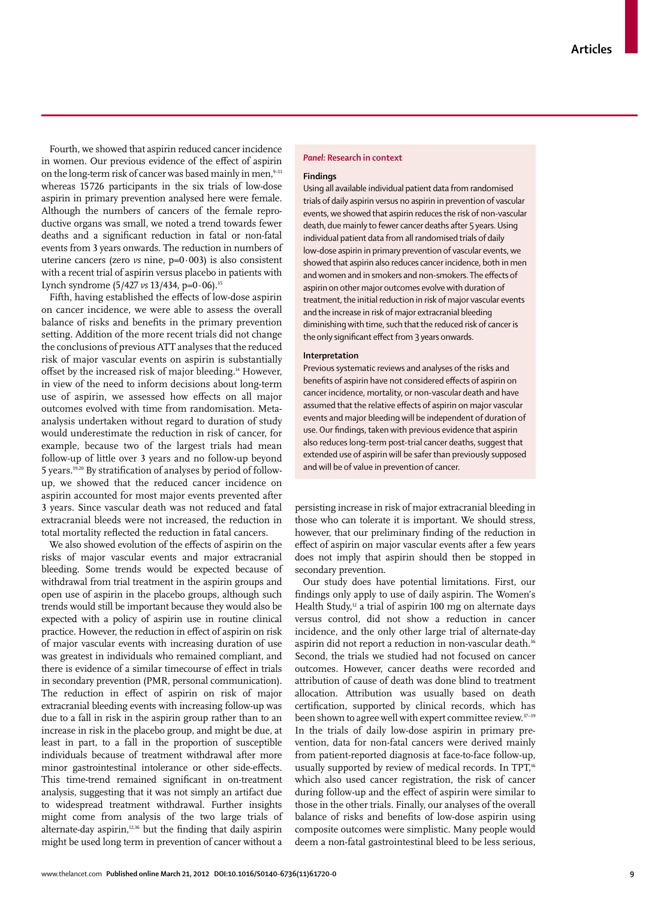Fourth, we showed that aspirin reduced cancer incidence in women. Our previous evidence of the effect of aspirin on the long-term risk of cancer was based mainly in men, 9-11 whereas 15 726 participants in the six trials of low-dose aspirin in primary prevention analysed here were female. Although the numbers of cancers of the female reproductive organs was small, we noted a trend towards fewer deaths and a significant reduction in fatal or non-fatal events from 3 years onwards. The reduction in numbers of uterine cancers (zero  $\nu s$  nine,  $p=0.003$ ) is also consistent with a recent trial of aspirin versus placebo in patients with Lynch syndrome (5/427 *vs* 13/434, p=0·06).<sup>35</sup>

Fifth, having established the effects of low-dose aspirin on cancer incidence, we were able to assess the overall balance of risks and benefits in the primary prevention setting. Addition of the more recent trials did not change the conclusions of previous ATT analyses that the reduced risk of major vascular events on aspirin is substantially offset by the increased risk of major bleeding.<sup>14</sup> However, in view of the need to inform decisions about long-term use of aspirin, we assessed how effects on all major outcomes evolved with time from randomisation. Metaanalysis undertaken without regard to duration of study would underestimate the reduction in risk of cancer, for example, because two of the largest trials had mean follow-up of little over 3 years and no follow-up beyond 5 years.<sup>19,20</sup> By stratification of analyses by period of followup, we showed that the reduced cancer incidence on aspirin accounted for most major events prevented after 3 years. Since vascular death was not reduced and fatal extracranial bleeds were not increased, the reduction in total mortality reflected the reduction in fatal cancers.

We also showed evolution of the effects of aspirin on the risks of major vascular events and major extracranial bleeding. Some trends would be expected because of withdrawal from trial treatment in the aspirin groups and open use of aspirin in the placebo groups, although such trends would still be important because they would also be expected with a policy of aspirin use in routine clinical practice. However, the reduction in effect of aspirin on risk of major vascular events with increasing duration of use was greatest in individuals who remained compliant, and there is evidence of a similar timecourse of effect in trials in secondary prevention (PMR, personal communication). The reduction in effect of aspirin on risk of major extracranial bleeding events with increasing follow-up was due to a fall in risk in the aspirin group rather than to an increase in risk in the placebo group, and might be due, at least in part, to a fall in the proportion of susceptible individuals because of treatment withdrawal after more minor gastrointestinal intolerance or other side-effects. This time-trend remained significant in on-treatment analysis, suggesting that it was not simply an artifact due to widespread treatment withdrawal. Further insights might come from analysis of the two large trials of alternate-day aspirin, $12,36$  but the finding that daily aspirin might be used long term in prevention of cancer without a

## *Panel:* **Research in context**

#### **Findings**

Using all available individual patient data from randomised trials of daily aspirin versus no aspirin in prevention of vascular events, we showed that aspirin reduces the risk of non-vascular death, due mainly to fewer cancer deaths after 5 years. Using individual patient data from all randomised trials of daily low-dose aspirin in primary prevention of vascular events, we showed that aspirin also reduces cancer incidence, both in men and women and in smokers and non-smokers. The effects of aspirin on other major outcomes evolve with duration of treatment, the initial reduction in risk of major vascular events and the increase in risk of major extracranial bleeding diminishing with time, such that the reduced risk of cancer is the only significant effect from 3 years onwards.

#### **Interpretation**

Previous systematic reviews and analyses of the risks and benefits of aspirin have not considered effects of aspirin on cancer incidence, mortality, or non-vascular death and have assumed that the relative effects of aspirin on major vascular events and major bleeding will be independent of duration of use. Our findings, taken with previous evidence that aspirin also reduces long-term post-trial cancer deaths, suggest that extended use of aspirin will be safer than previously supposed and will be of value in prevention of cancer.

persisting increase in risk of major extracranial bleeding in those who can tolerate it is important. We should stress, however, that our preliminary finding of the reduction in effect of aspirin on major vascular events after a few years does not imply that aspirin should then be stopped in secondary prevention.

Our study does have potential limitations. First, our findings only apply to use of daily aspirin. The Women's Health Study, $12$  a trial of aspirin 100 mg on alternate days versus control, did not show a reduction in cancer incidence, and the only other large trial of alternate-day aspirin did not report a reduction in non-vascular death.<sup>36</sup> Second, the trials we studied had not focused on cancer outcomes. However, cancer deaths were recorded and attribution of cause of death was done blind to treatment allocation. Attribution was usually based on death certification, supported by clinical records, which has been shown to agree well with expert committee review.<sup>37-39</sup> In the trials of daily low-dose aspirin in primary prevention, data for non-fatal cancers were derived mainly from patient-reported diagnosis at face-to-face follow-up, usually supported by review of medical records. In TPT,<sup>16</sup> which also used cancer registration, the risk of cancer during follow-up and the effect of aspirin were similar to those in the other trials. Finally, our analyses of the overall balance of risks and benefits of low-dose aspirin using composite outcomes were simplistic. Many people would deem a non-fatal gastrointestinal bleed to be less serious,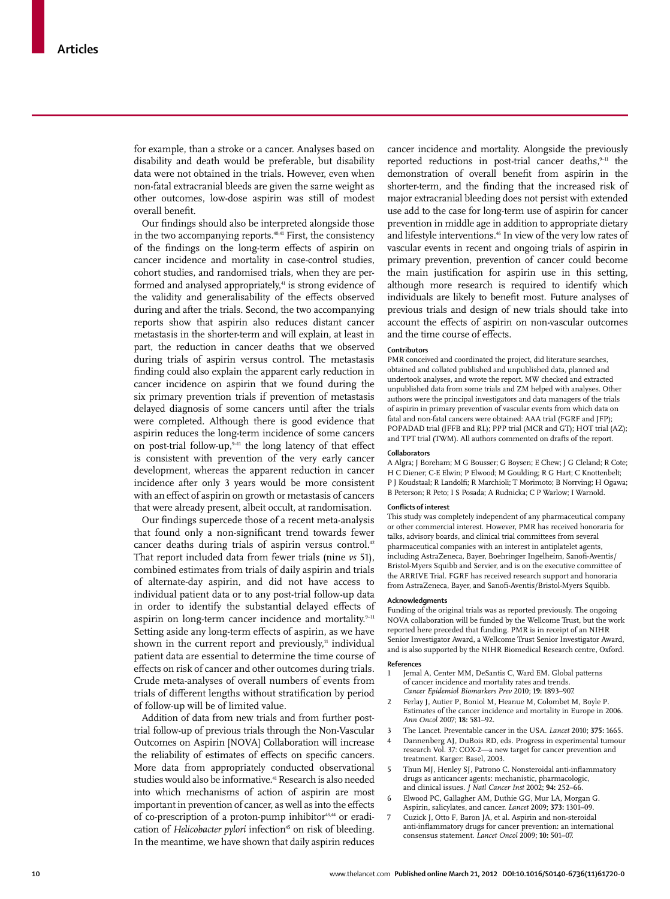for example, than a stroke or a cancer. Analyses based on disability and death would be preferable, but disability data were not obtained in the trials. However, even when non-fatal extracranial bleeds are given the same weight as other outcomes, low-dose aspirin was still of modest overall benefit.

Our findings should also be interpreted alongside those in the two accompanying reports.<sup>40,41</sup> First, the consistency of the findings on the long-term effects of aspirin on cancer incidence and mortality in case-control studies, cohort studies, and randomised trials, when they are performed and analysed appropriately,<sup>41</sup> is strong evidence of the validity and generalisability of the effects observed during and after the trials. Second, the two accompanying reports show that aspirin also reduces distant cancer metastasis in the shorter-term and will explain, at least in part, the reduction in cancer deaths that we observed during trials of aspirin versus control. The metastasis finding could also explain the apparent early reduction in cancer incidence on aspirin that we found during the six primary prevention trials if prevention of metastasis delayed diagnosis of some cancers until after the trials were completed. Although there is good evidence that aspirin reduces the long-term incidence of some cancers on post-trial follow-up, $9-11$  the long latency of that effect is consistent with prevention of the very early cancer development, whereas the apparent reduction in cancer incidence after only 3 years would be more consistent with an effect of aspirin on growth or metastasis of cancers that were already present, albeit occult, at randomisation.

Our findings supercede those of a recent meta-analysis that found only a non-significant trend towards fewer cancer deaths during trials of aspirin versus control.<sup>42</sup> That report included data from fewer trials (nine *vs* 51), combined estimates from trials of daily aspirin and trials of alternate-day aspirin, and did not have access to individual patient data or to any post-trial follow-up data in order to identify the substantial delayed effects of aspirin on long-term cancer incidence and mortality.<sup>9-11</sup> Setting aside any long-term effects of aspirin, as we have shown in the current report and previously, $11$  individual patient data are essential to determine the time course of effects on risk of cancer and other outcomes during trials. Crude meta-analyses of overall numbers of events from trials of different lengths without stratification by period of follow-up will be of limited value.

Addition of data from new trials and from further posttrial follow-up of previous trials through the Non-Vascular Outcomes on Aspirin [NOVA] Collaboration will increase the reliability of estimates of effects on specific cancers. More data from appropriately conducted observational studies would also be informative.<sup>41</sup> Research is also needed into which mechanisms of action of aspirin are most important in prevention of cancer, as well as into the effects of co-prescription of a proton-pump inhibitor<sup>43,44</sup> or eradication of *Helicobacter pylori* infection<sup>45</sup> on risk of bleeding. In the meantime, we have shown that daily aspirin reduces cancer incidence and mortality. Alongside the previously reported reductions in post-trial cancer deaths, $9-11$  the demonstration of overall benefit from aspirin in the shorter-term, and the finding that the increased risk of major extracranial bleeding does not persist with extended use add to the case for long-term use of aspirin for cancer prevention in middle age in addition to appropriate dietary and lifestyle interventions.<sup>46</sup> In view of the very low rates of vascular events in recent and ongoing trials of aspirin in primary prevention, prevention of cancer could become the main justification for aspirin use in this setting, although more research is required to identify which individuals are likely to benefit most. Future analyses of previous trials and design of new trials should take into account the effects of aspirin on non-vascular outcomes and the time course of effects.

#### **Contributors**

PMR conceived and coordinated the project, did literature searches, obtained and collated published and unpublished data, planned and undertook analyses, and wrote the report. MW checked and extracted unpublished data from some trials and ZM helped with analyses. Other authors were the principal investigators and data managers of the trials of aspirin in primary prevention of vascular events from which data on fatal and non-fatal cancers were obtained: AAA trial (FGRF and JFP); POPADAD trial (JFFB and RL); PPP trial (MCR and GT); HOT trial (AZ); and TPT trial (TWM). All authors commented on drafts of the report.

#### **Collaborators**

A Algra; J Boreham; M G Bousser; G Boysen; E Chew; J G Cleland; R Cote; H C Diener; C-E Elwin; P Elwood; M Goulding; R G Hart; C Knottenbelt; P J Koudstaal; R Landolfi; R Marchioli; T Morimoto; B Norrving; H Ogawa; B Peterson; R Peto; I S Posada; A Rudnicka; C P Warlow; I Warnold.

#### **Conflicts of interest**

This study was completely independent of any pharmaceutical company or other commercial interest. However, PMR has received honoraria for talks, advisory boards, and clinical trial committees from several pharmaceutical companies with an interest in antiplatelet agents, including AstraZeneca, Bayer, Boehringer Ingelheim, Sanofi -Aventis/ Bristol-Myers Squibb and Servier, and is on the executive committee of the ARRIVE Trial. FGRF has received research support and honoraria from AstraZeneca, Bayer, and Sanofi -Aventis/Bristol-Myers Squibb.

#### **Acknowledgments**

Funding of the original trials was as reported previously. The ongoing NOVA collaboration will be funded by the Wellcome Trust, but the work reported here preceded that funding. PMR is in receipt of an NIHR Senior Investigator Award, a Wellcome Trust Senior Investigator Award, and is also supported by the NIHR Biomedical Research centre, Oxford.

#### **References**

- 1 Jemal A, Center MM, DeSantis C, Ward EM. Global patterns of cancer incidence and mortality rates and trends. *Cancer Epidemiol Biomarkers Prev* 2010; **19:** 1893–907.
- 2 Ferlay J, Autier P, Boniol M, Heanue M, Colombet M, Boyle P. Estimates of the cancer incidence and mortality in Europe in 2006. *Ann Oncol* 2007; **18:** 581–92.
- 3 The Lancet. Preventable cancer in the USA. *Lancet* 2010; **375:** 1665.
- Dannenberg AJ, DuBois RD, eds. Progress in experimental tumour research Vol. 37: COX-2—a new target for cancer prevention and treatment. Karger: Basel, 2003.
- 5 Thun MJ, Henley SJ, Patrono C. Nonsteroidal anti-inflammatory drugs as anticancer agents: mechanistic, pharmacologic, and clinical issues. *J Natl Cancer Inst* 2002; **94:** 252–66.
- 6 Elwood PC, Gallagher AM, Duthie GG, Mur LA, Morgan G. Aspirin, salicylates, and cancer. *Lancet* 2009; **373:** 1301–09.
- 7 Cuzick J, Otto F, Baron JA, et al. Aspirin and non-steroidal anti-inflammatory drugs for cancer prevention: an international consensus statement. *Lancet Oncol* 2009; **10:** 501–07.